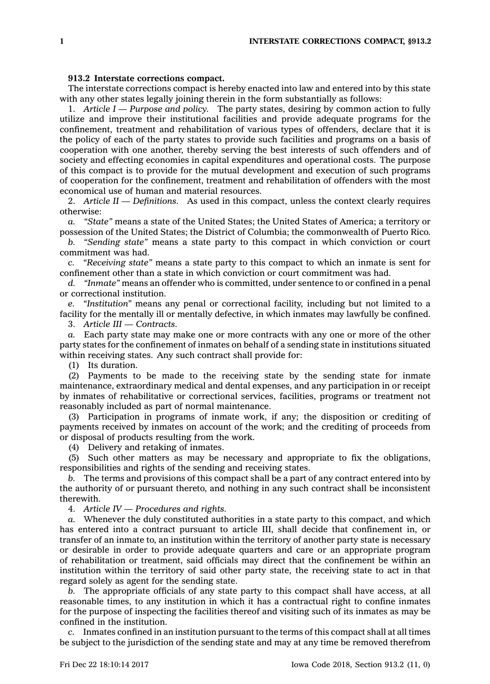## **913.2 Interstate corrections compact.**

The interstate corrections compact is hereby enacted into law and entered into by this state with any other states legally joining therein in the form substantially as follows:

1. *Article I — Purpose and policy.* The party states, desiring by common action to fully utilize and improve their institutional facilities and provide adequate programs for the confinement, treatment and rehabilitation of various types of offenders, declare that it is the policy of each of the party states to provide such facilities and programs on <sup>a</sup> basis of cooperation with one another, thereby serving the best interests of such offenders and of society and effecting economies in capital expenditures and operational costs. The purpose of this compact is to provide for the mutual development and execution of such programs of cooperation for the confinement, treatment and rehabilitation of offenders with the most economical use of human and material resources.

2. *Article II — Definitions.* As used in this compact, unless the context clearly requires otherwise:

*a. "State"* means <sup>a</sup> state of the United States; the United States of America; <sup>a</sup> territory or possession of the United States; the District of Columbia; the commonwealth of Puerto Rico.

*b. "Sending state"* means <sup>a</sup> state party to this compact in which conviction or court commitment was had.

*c. "Receiving state"* means <sup>a</sup> state party to this compact to which an inmate is sent for confinement other than <sup>a</sup> state in which conviction or court commitment was had.

*d. "Inmate"* means an offender who is committed, under sentence to or confined in <sup>a</sup> penal or correctional institution.

*e. "Institution"* means any penal or correctional facility, including but not limited to <sup>a</sup> facility for the mentally ill or mentally defective, in which inmates may lawfully be confined.

3. *Article III —Contracts.*

*a.* Each party state may make one or more contracts with any one or more of the other party states for the confinement of inmates on behalf of <sup>a</sup> sending state in institutions situated within receiving states. Any such contract shall provide for:

(1) Its duration.

(2) Payments to be made to the receiving state by the sending state for inmate maintenance, extraordinary medical and dental expenses, and any participation in or receipt by inmates of rehabilitative or correctional services, facilities, programs or treatment not reasonably included as part of normal maintenance.

(3) Participation in programs of inmate work, if any; the disposition or crediting of payments received by inmates on account of the work; and the crediting of proceeds from or disposal of products resulting from the work.

(4) Delivery and retaking of inmates.

(5) Such other matters as may be necessary and appropriate to fix the obligations, responsibilities and rights of the sending and receiving states.

*b.* The terms and provisions of this compact shall be <sup>a</sup> part of any contract entered into by the authority of or pursuant thereto, and nothing in any such contract shall be inconsistent therewith.

4. *Article IV — Procedures and rights.*

*a.* Whenever the duly constituted authorities in <sup>a</sup> state party to this compact, and which has entered into <sup>a</sup> contract pursuant to article III, shall decide that confinement in, or transfer of an inmate to, an institution within the territory of another party state is necessary or desirable in order to provide adequate quarters and care or an appropriate program of rehabilitation or treatment, said officials may direct that the confinement be within an institution within the territory of said other party state, the receiving state to act in that regard solely as agent for the sending state.

*b.* The appropriate officials of any state party to this compact shall have access, at all reasonable times, to any institution in which it has <sup>a</sup> contractual right to confine inmates for the purpose of inspecting the facilities thereof and visiting such of its inmates as may be confined in the institution.

*c.* Inmates confined in an institution pursuant to the terms of this compact shall at all times be subject to the jurisdiction of the sending state and may at any time be removed therefrom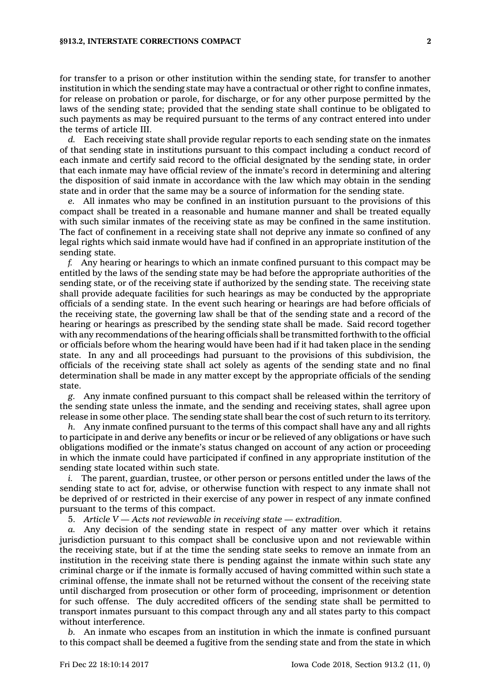for transfer to <sup>a</sup> prison or other institution within the sending state, for transfer to another institution in which the sending state may have <sup>a</sup> contractual or other right to confine inmates, for release on probation or parole, for discharge, or for any other purpose permitted by the laws of the sending state; provided that the sending state shall continue to be obligated to such payments as may be required pursuant to the terms of any contract entered into under the terms of article III.

*d.* Each receiving state shall provide regular reports to each sending state on the inmates of that sending state in institutions pursuant to this compact including <sup>a</sup> conduct record of each inmate and certify said record to the official designated by the sending state, in order that each inmate may have official review of the inmate's record in determining and altering the disposition of said inmate in accordance with the law which may obtain in the sending state and in order that the same may be <sup>a</sup> source of information for the sending state.

*e.* All inmates who may be confined in an institution pursuant to the provisions of this compact shall be treated in <sup>a</sup> reasonable and humane manner and shall be treated equally with such similar inmates of the receiving state as may be confined in the same institution. The fact of confinement in <sup>a</sup> receiving state shall not deprive any inmate so confined of any legal rights which said inmate would have had if confined in an appropriate institution of the sending state.

*f.* Any hearing or hearings to which an inmate confined pursuant to this compact may be entitled by the laws of the sending state may be had before the appropriate authorities of the sending state, or of the receiving state if authorized by the sending state. The receiving state shall provide adequate facilities for such hearings as may be conducted by the appropriate officials of <sup>a</sup> sending state. In the event such hearing or hearings are had before officials of the receiving state, the governing law shall be that of the sending state and <sup>a</sup> record of the hearing or hearings as prescribed by the sending state shall be made. Said record together with any recommendations of the hearing officials shall be transmitted forthwith to the official or officials before whom the hearing would have been had if it had taken place in the sending state. In any and all proceedings had pursuant to the provisions of this subdivision, the officials of the receiving state shall act solely as agents of the sending state and no final determination shall be made in any matter except by the appropriate officials of the sending state.

*g.* Any inmate confined pursuant to this compact shall be released within the territory of the sending state unless the inmate, and the sending and receiving states, shall agree upon release in some other place. The sending state shall bear the cost of such return to its territory.

*h.* Any inmate confined pursuant to the terms of this compact shall have any and all rights to participate in and derive any benefits or incur or be relieved of any obligations or have such obligations modified or the inmate's status changed on account of any action or proceeding in which the inmate could have participated if confined in any appropriate institution of the sending state located within such state.

*i.* The parent, guardian, trustee, or other person or persons entitled under the laws of the sending state to act for, advise, or otherwise function with respect to any inmate shall not be deprived of or restricted in their exercise of any power in respect of any inmate confined pursuant to the terms of this compact.

5. *Article V — Acts not reviewable in receiving state — extradition.*

*a.* Any decision of the sending state in respect of any matter over which it retains jurisdiction pursuant to this compact shall be conclusive upon and not reviewable within the receiving state, but if at the time the sending state seeks to remove an inmate from an institution in the receiving state there is pending against the inmate within such state any criminal charge or if the inmate is formally accused of having committed within such state <sup>a</sup> criminal offense, the inmate shall not be returned without the consent of the receiving state until discharged from prosecution or other form of proceeding, imprisonment or detention for such offense. The duly accredited officers of the sending state shall be permitted to transport inmates pursuant to this compact through any and all states party to this compact without interference.

*b.* An inmate who escapes from an institution in which the inmate is confined pursuant to this compact shall be deemed <sup>a</sup> fugitive from the sending state and from the state in which